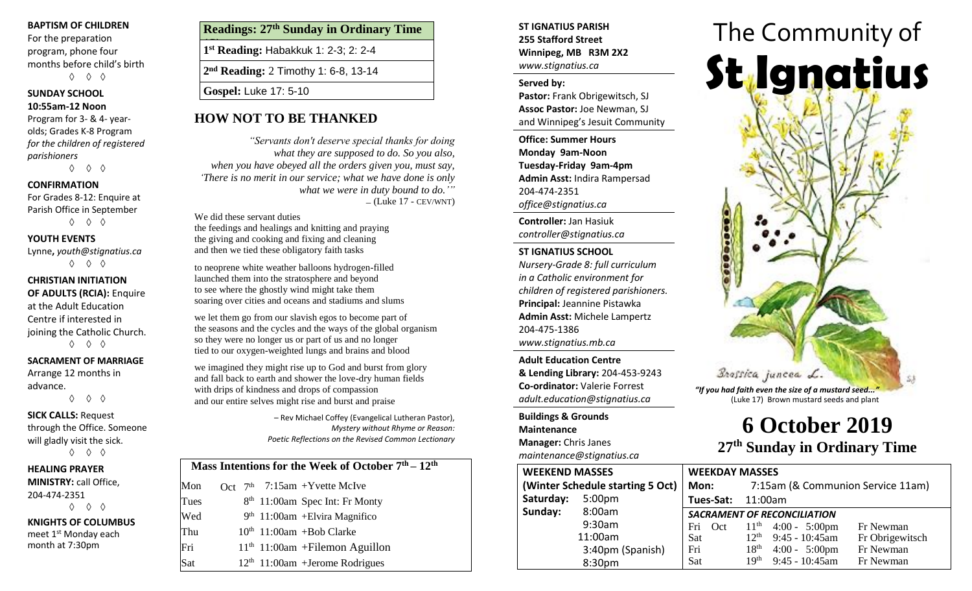### **BAPTISM OF CHILDREN**

For the preparation program, phone four months before child's birth ◊ ◊ ◊

# **SUNDAY SCHOOL**

## **10:55am-12 Noon**

Program for 3- & 4- yearolds; Grades K-8 Program *for the children of registered parishioners*

◊ ◊ ◊

# **CONFIRMATION**

For Grades 8-12: Enquire at Parish Office in September ◊ ◊ ◊

## **YOUTH EVENTS**

Lynne**,** *youth@stignatius.ca* ◊ ◊ ◊

# **CHRISTIAN INITIATION OF ADULTS (RCIA):** Enquire at the Adult Education Centre if interested in joining the Catholic Church.

◊ ◊ ◊

### **SACRAMENT OF MARRIAGE**

Arrange 12 months in advance.

◊ ◊ ◊

### **SICK CALLS:** Request through the Office. Someone will gladly visit the sick. ◊ ◊ ◊

## **HEALING PRAYER MINISTRY:** call Office, 204-474-2351 ◊ ◊ ◊

**KNIGHTS OF COLUMBUS** meet 1<sup>st</sup> Monday each month at 7:30pm

# **Readings: 27th Sunday in Ordinary Time**

**(C) 1 st Reading:** Habakkuk 1: 2-3; 2: 2-4

**2 nd Reading:** 2 Timothy 1: 6-8, 13-14

**Gospel:** Luke 17: 5-10

# **HOW NOT TO BE THANKED**

*"Servants don't deserve special thanks for doing what they are supposed to do. So you also, when you have obeyed all the orders given you, must say, 'There is no merit in our service; what we have done is only what we were in duty bound to do.'"*  $-$  (Luke 17 - CEV/WNT)

We did these servant duties the feedings and healings and knitting and praying the giving and cooking and fixing and cleaning and then we tied these obligatory faith tasks

to neoprene white weather balloons hydrogen-filled launched them into the stratosphere and beyond to see where the ghostly wind might take them soaring over cities and oceans and stadiums and slums

we let them go from our slavish egos to become part of the seasons and the cycles and the ways of the global organism so they were no longer us or part of us and no longer tied to our oxygen-weighted lungs and brains and blood

we imagined they might rise up to God and burst from glory and fall back to earth and shower the love-dry human fields with drips of kindness and drops of compassion and our entire selves might rise and burst and praise

> – Rev Michael Coffey (Evangelical Lutheran Pastor), *Mystery without Rhyme or Reason: Poetic Reflections on the Revised Common Lectionary*

# **Mass Intentions for the Week of October 7th – 12th**

# **ST IGNATIUS PARISH 255 Stafford Street Winnipeg, MB R3M 2X2** *www.stignatius.ca*

### **Served by:**

**Pastor:** Frank Obrigewitsch, SJ **Assoc Pastor:** Joe Newman, SJ and Winnipeg's Jesuit Community

**Office: Summer Hours Monday 9am-Noon Tuesday-Friday 9am-4pm Admin Asst:** Indira Rampersad 204-474-2351 *office@stignatius.ca*

**Controller:** Jan Hasiuk *controller@stignatius.ca*

## **ST IGNATIUS SCHOOL**

*Nursery-Grade 8: full curriculum in a Catholic environment for children of registered parishioners.* **Principal:** Jeannine Pistawka **Admin Asst:** Michele Lampertz 204-475-1386 *www.stignatius.mb.ca*

**Adult Education Centre & Lending Library:** 204-453-9243 **Co-ordinator:** Valerie Forrest *adult.education@stignatius.ca*

**Buildings & Grounds Maintenance Manager:** Chris Janes *maintenance@stignatius.ca*

| <i>Hamitchance @stighatias.ca</i> |                    |                                    |           |                                   |                         |                 |  |
|-----------------------------------|--------------------|------------------------------------|-----------|-----------------------------------|-------------------------|-----------------|--|
| <b>WEEKEND MASSES</b>             |                    | <b>WEEKDAY MASSES</b>              |           |                                   |                         |                 |  |
| (Winter Schedule starting 5 Oct)  |                    | Mon:                               |           | 7:15am (& Communion Service 11am) |                         |                 |  |
| Saturday:                         | 5:00 <sub>pm</sub> |                                    | Tues-Sat: | 11:00am                           |                         |                 |  |
| Sunday:                           | 8:00am             | <b>SACRAMENT OF RECONCILIATION</b> |           |                                   |                         |                 |  |
|                                   | 9:30am             |                                    | Fri Oct   |                                   | $11th$ 4:00 - 5:00pm    | Fr Newman       |  |
|                                   | 11:00am            | <b>Sat</b>                         |           | $12^{th}$                         | $9:45 - 10:45$ am       | Fr Obrigewitsch |  |
|                                   | 3:40pm (Spanish)   | Fri                                |           | 18 <sup>th</sup>                  | $4:00 - 5:00 \text{pm}$ | Fr Newman       |  |
|                                   | 8:30pm             | Sat                                |           | 19 <sup>th</sup>                  | $9:45 - 10:45$ am       | Fr Newman       |  |

# The Community of **St Ignatius** Brassica juncea L.

*"If you had faith even the size of a mustard seed..."* (Luke 17) Brown mustard seeds and plant

# **6 October 2019 27 th Sunday in Ordinary Time**